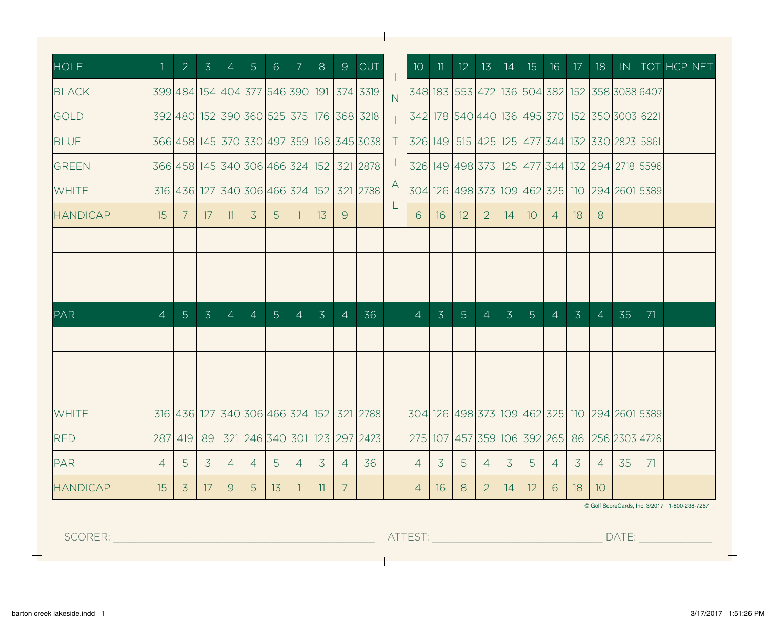| <b>HOLE</b>     |                 | 2 <sup>1</sup> |                 |                |                | 3   4   5   6   7   8      |                    |                |                | $9$ OUT                                  |                |                |                |                |                  |                |                |                |                |                |                                                                |    | 10 11 12 13 14 15 16 17 18 IN TOT HCP NET     |  |
|-----------------|-----------------|----------------|-----------------|----------------|----------------|----------------------------|--------------------|----------------|----------------|------------------------------------------|----------------|----------------|----------------|----------------|------------------|----------------|----------------|----------------|----------------|----------------|----------------------------------------------------------------|----|-----------------------------------------------|--|
| <b>BLACK</b>    |                 |                |                 |                |                |                            |                    |                |                | 399 484 154 404 377 546 390 191 374 3319 | $\overline{N}$ |                |                |                |                  |                |                |                |                |                | 348 183 553 472 136 504 382 152 358 3088 6407                  |    |                                               |  |
| <b>GOLD</b>     |                 |                |                 |                |                |                            |                    |                |                | 392 480 152 390 360 525 375 176 368 3218 |                |                |                |                |                  |                |                |                |                |                | 342  178  540 440  136  495  370   152   350   3003   6221     |    |                                               |  |
| <b>BLUE</b>     |                 |                |                 |                |                |                            |                    |                |                | 366 458 145 370 330 497 359 168 345 3038 |                |                |                |                |                  |                |                |                |                |                | T 326 149 515 425 125 477 344 132 330 2823 5861                |    |                                               |  |
| <b>GREEN</b>    |                 |                |                 |                |                |                            |                    |                |                | 366 458 145 340 306 466 324 152 321 2878 | ŢГ,            |                |                |                |                  |                |                |                |                |                | 326 149 498 373 125 477 344 132 294 2718 5596                  |    |                                               |  |
| <b>WHITE</b>    |                 |                |                 |                |                |                            |                    |                |                | 316 436 127 340 306 466 324 152 321 2788 | A              |                |                |                |                  |                |                |                |                |                | 304 126 498 373 109 462 325 110 294 2601 5389                  |    |                                               |  |
| <b>HANDICAP</b> | 15 <sup>1</sup> | 7 <sup>7</sup> | 17 <sup>1</sup> |                | $11 \mid 3$    |                            | $5 \mid 1 \mid 13$ |                | 9              |                                          |                |                | 6 1 1 6        | 12             | $\left 2\right $ | 14             | $\vert$ 10     | 4   18         |                | -8             |                                                                |    |                                               |  |
|                 |                 |                |                 |                |                |                            |                    |                |                |                                          |                |                |                |                |                  |                |                |                |                |                |                                                                |    |                                               |  |
|                 |                 |                |                 |                |                |                            |                    |                |                |                                          |                |                |                |                |                  |                |                |                |                |                |                                                                |    |                                               |  |
|                 |                 |                |                 |                |                |                            |                    |                |                |                                          |                |                |                |                |                  |                |                |                |                |                |                                                                |    |                                               |  |
| PAR             | $\overline{4}$  | 5 <sup>1</sup> | $\overline{3}$  | 4              | $\overline{4}$ | 5 <sup>5</sup>             | $\overline{4}$     | $\overline{3}$ | $\overline{4}$ | 36                                       |                | $\overline{4}$ | $\overline{3}$ | 5 <sup>1</sup> | $\overline{4}$   | $\overline{3}$ | 5 <sup>1</sup> | $\overline{4}$ | $\overline{3}$ | $\overline{4}$ | 35                                                             | 71 |                                               |  |
|                 |                 |                |                 |                |                |                            |                    |                |                |                                          |                |                |                |                |                  |                |                |                |                |                |                                                                |    |                                               |  |
|                 |                 |                |                 |                |                |                            |                    |                |                |                                          |                |                |                |                |                  |                |                |                |                |                |                                                                |    |                                               |  |
|                 |                 |                |                 |                |                |                            |                    |                |                |                                          |                |                |                |                |                  |                |                |                |                |                |                                                                |    |                                               |  |
| <b>WHITE</b>    |                 |                |                 |                |                |                            |                    |                |                | 316 436 127 340 306 466 324 152 321 2788 |                |                |                |                |                  |                |                |                |                |                | 304  126  498  373   109   462   325   110   294   2601   5389 |    |                                               |  |
|                 |                 |                |                 |                |                |                            |                    |                |                |                                          |                |                |                |                |                  |                |                |                |                |                |                                                                |    |                                               |  |
| <b>RED</b>      |                 | 287 419        |                 |                |                | 89 321 246 340 301 123 297 |                    |                |                | 2423                                     |                |                |                |                |                  |                |                |                |                |                | 275 107 457 359 106 392 265 86 256 2303 4726                   |    |                                               |  |
| <b>PAR</b>      | $\overline{4}$  | 5 <sup>5</sup> | $\overline{3}$  | 4              | $\overline{4}$ | 5 <sup>5</sup>             | $\overline{4}$     | 3 <sup>7</sup> | $\overline{4}$ | 36                                       |                | $\overline{4}$ | 3 <sup>7</sup> | 5 <sup>7</sup> | $\overline{4}$   | 3 <sup>7</sup> | 5 <sup>5</sup> | $\overline{4}$ | 3              | $\vert$ 4      | 35                                                             | 71 |                                               |  |
| <b>HANDICAP</b> | 15              | $\overline{3}$ | 17              | 9 <sup>1</sup> | 5 <sup>5</sup> | 13                         | $\sqrt{1}$         | $\vert$ 11     | $7^{\circ}$    |                                          |                | $\overline{4}$ | 16             | 8              | $\overline{2}$   | 14             | 12             | 6              | 18             | 10             |                                                                |    |                                               |  |
|                 |                 |                |                 |                |                |                            |                    |                |                |                                          |                |                |                |                |                  |                |                |                |                |                |                                                                |    | © Golf ScoreCards, Inc. 3/2017 1-800-238-7267 |  |

 $\mathbf{L}$ 

 $\overline{\phantom{a}}$ 

ħ

L.

Ē